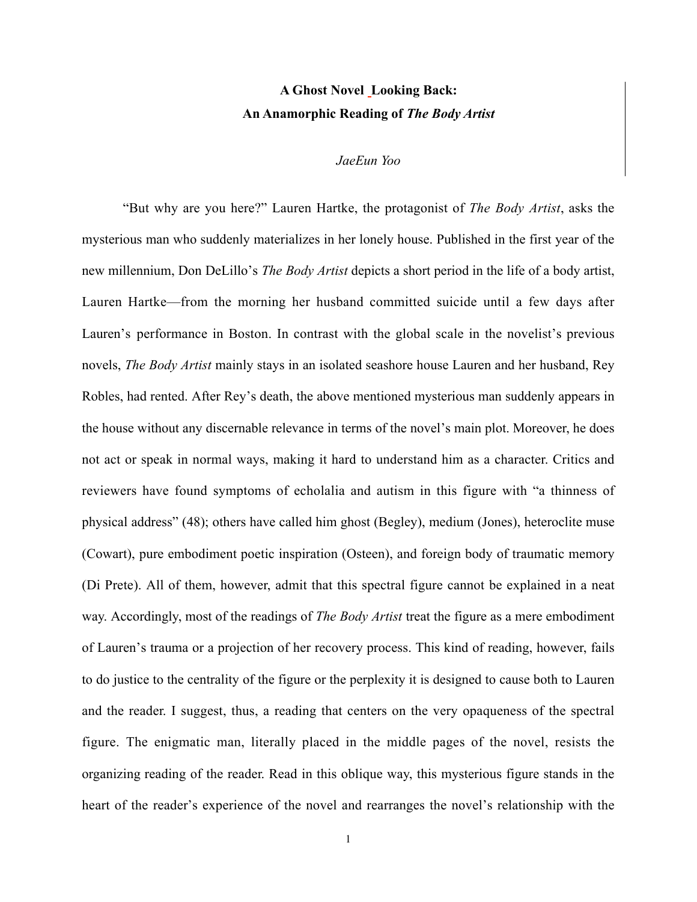## A Ghost Novel Looking Back: An Anamorphic Reading of *The Body Artist*

## *JaeEun Yoo*

"But why are you here?" Lauren Hartke, the protagonist of *The Body Artist*, asks the mysterious man who suddenly materializes in her lonely house. Published in the first year of the new millennium, Don DeLillo's *The Body Artist* depicts a short period in the life of a body artist, Lauren Hartke—from the morning her husband committed suicide until a few days after Lauren's performance in Boston. In contrast with the global scale in the novelist's previous novels, *The Body Artist* mainly stays in an isolated seashore house Lauren and her husband, Rey Robles, had rented. After Rey's death, the above mentioned mysterious man suddenly appears in the house without any discernable relevance in terms of the novel's main plot. Moreover, he does not act or speak in normal ways, making it hard to understand him as a character. Critics and reviewers have found symptoms of echolalia and autism in this figure with "a thinness of physical address" (48); others have called him ghost (Begley), medium (Jones), heteroclite muse (Cowart), pure embodiment poetic inspiration (Osteen), and foreign body of traumatic memory (Di Prete). All of them, however, admit that this spectral figure cannot be explained in a neat way. Accordingly, most of the readings of *The Body Artist* treat the figure as a mere embodiment of Lauren's trauma or a projection of her recovery process. This kind of reading, however, fails to do justice to the centrality of the figure or the perplexity it is designed to cause both to Lauren and the reader. I suggest, thus, a reading that centers on the very opaqueness of the spectral figure. The enigmatic man, literally placed in the middle pages of the novel, resists the organizing reading of the reader. Read in this oblique way, this mysterious figure stands in the heart of the reader's experience of the novel and rearranges the novel's relationship with the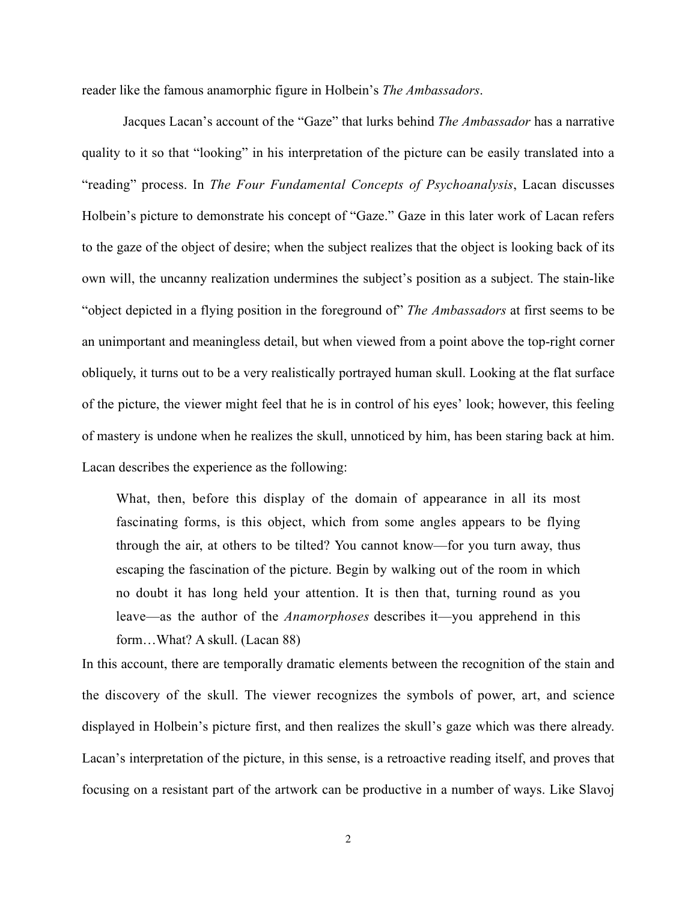reader like the famous anamorphic figure in Holbein's *The Ambassadors*.

Jacques Lacan's account of the "Gaze" that lurks behind *The Ambassador* has a narrative quality to it so that "looking" in his interpretation of the picture can be easily translated into a "reading" process. In *The Four Fundamental Concepts of Psychoanalysis*, Lacan discusses Holbein's picture to demonstrate his concept of "Gaze." Gaze in this later work of Lacan refers to the gaze of the object of desire; when the subject realizes that the object is looking back of its own will, the uncanny realization undermines the subject's position as a subject. The stain-like "object depicted in a flying position in the foreground of" *The Ambassadors* at first seems to be an unimportant and meaningless detail, but when viewed from a point above the top-right corner obliquely, it turns out to be a very realistically portrayed human skull. Looking at the flat surface of the picture, the viewer might feel that he is in control of his eyes' look; however, this feeling of mastery is undone when he realizes the skull, unnoticed by him, has been staring back at him. Lacan describes the experience as the following:

What, then, before this display of the domain of appearance in all its most fascinating forms, is this object, which from some angles appears to be flying through the air, at others to be tilted? You cannot know—for you turn away, thus escaping the fascination of the picture. Begin by walking out of the room in which no doubt it has long held your attention. It is then that, turning round as you leave—as the author of the *Anamorphoses* describes it—you apprehend in this form…What? A skull. (Lacan 88)

In this account, there are temporally dramatic elements between the recognition of the stain and the discovery of the skull. The viewer recognizes the symbols of power, art, and science displayed in Holbein's picture first, and then realizes the skull's gaze which was there already. Lacan's interpretation of the picture, in this sense, is a retroactive reading itself, and proves that focusing on a resistant part of the artwork can be productive in a number of ways. Like Slavoj

2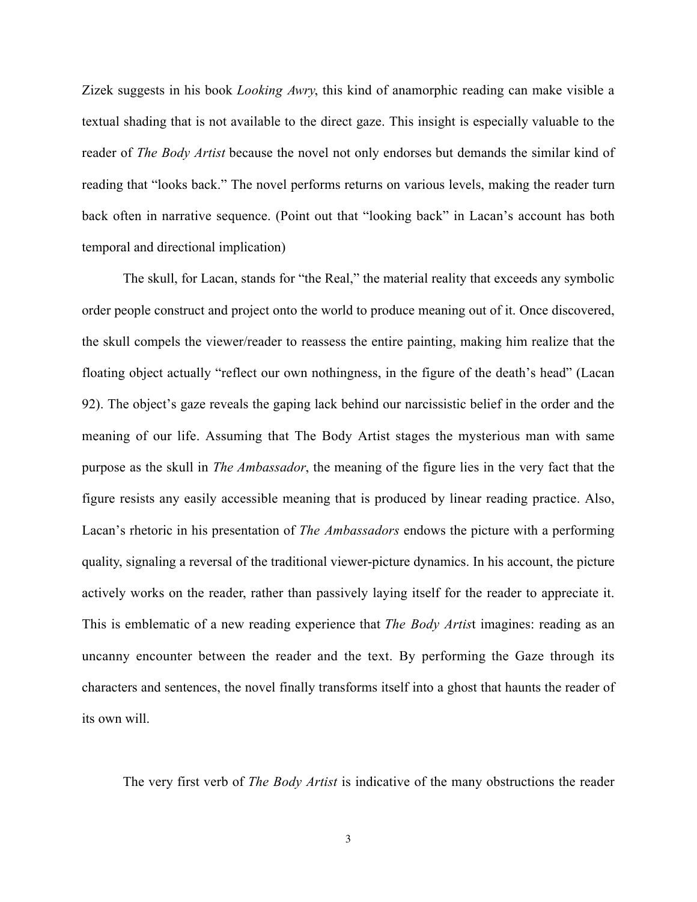Zizek suggests in his book *Looking Awry*, this kind of anamorphic reading can make visible a textual shading that is not available to the direct gaze. This insight is especially valuable to the reader of *The Body Artist* because the novel not only endorses but demands the similar kind of reading that "looks back." The novel performs returns on various levels, making the reader turn back often in narrative sequence. (Point out that "looking back" in Lacan's account has both temporal and directional implication)

The skull, for Lacan, stands for "the Real," the material reality that exceeds any symbolic order people construct and project onto the world to produce meaning out of it. Once discovered, the skull compels the viewer/reader to reassess the entire painting, making him realize that the floating object actually "reflect our own nothingness, in the figure of the death's head" (Lacan 92). The object's gaze reveals the gaping lack behind our narcissistic belief in the order and the meaning of our life. Assuming that The Body Artist stages the mysterious man with same purpose as the skull in *The Ambassador*, the meaning of the figure lies in the very fact that the figure resists any easily accessible meaning that is produced by linear reading practice. Also, Lacan's rhetoric in his presentation of *The Ambassadors* endows the picture with a performing quality, signaling a reversal of the traditional viewer-picture dynamics. In his account, the picture actively works on the reader, rather than passively laying itself for the reader to appreciate it. This is emblematic of a new reading experience that *The Body Artis*t imagines: reading as an uncanny encounter between the reader and the text. By performing the Gaze through its characters and sentences, the novel finally transforms itself into a ghost that haunts the reader of its own will.

The very first verb of *The Body Artist* is indicative of the many obstructions the reader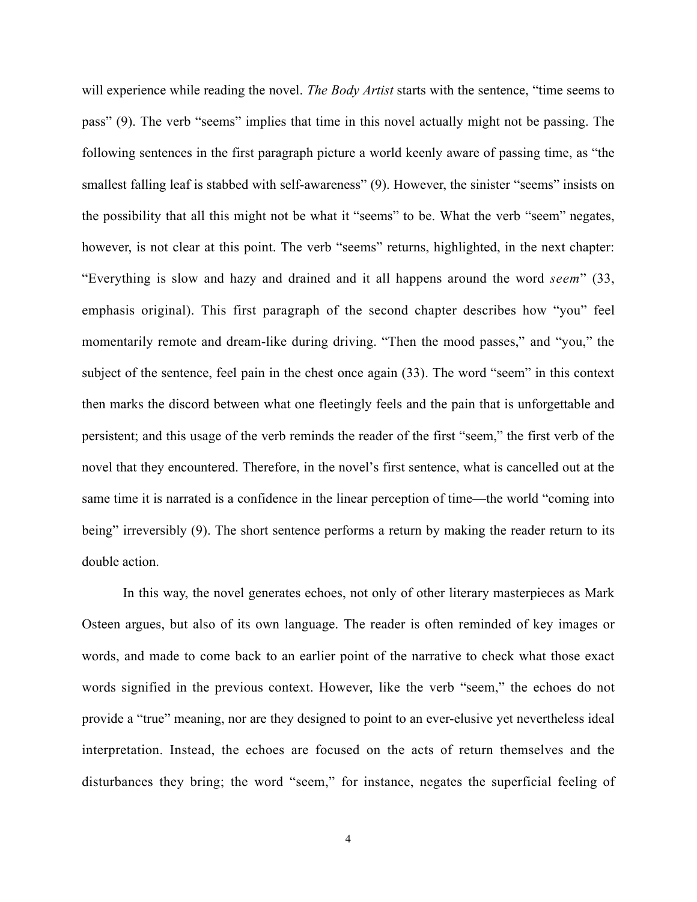will experience while reading the novel. *The Body Artist* starts with the sentence, "time seems to pass" (9). The verb "seems" implies that time in this novel actually might not be passing. The following sentences in the first paragraph picture a world keenly aware of passing time, as "the smallest falling leaf is stabbed with self-awareness" (9). However, the sinister "seems" insists on the possibility that all this might not be what it "seems" to be. What the verb "seem" negates, however, is not clear at this point. The verb "seems" returns, highlighted, in the next chapter: "Everything is slow and hazy and drained and it all happens around the word *seem*" (33, emphasis original). This first paragraph of the second chapter describes how "you" feel momentarily remote and dream-like during driving. "Then the mood passes," and "you," the subject of the sentence, feel pain in the chest once again (33). The word "seem" in this context then marks the discord between what one fleetingly feels and the pain that is unforgettable and persistent; and this usage of the verb reminds the reader of the first "seem," the first verb of the novel that they encountered. Therefore, in the novel's first sentence, what is cancelled out at the same time it is narrated is a confidence in the linear perception of time—the world "coming into being" irreversibly (9). The short sentence performs a return by making the reader return to its double action.

In this way, the novel generates echoes, not only of other literary masterpieces as Mark Osteen argues, but also of its own language. The reader is often reminded of key images or words, and made to come back to an earlier point of the narrative to check what those exact words signified in the previous context. However, like the verb "seem," the echoes do not provide a "true" meaning, nor are they designed to point to an ever-elusive yet nevertheless ideal interpretation. Instead, the echoes are focused on the acts of return themselves and the disturbances they bring; the word "seem," for instance, negates the superficial feeling of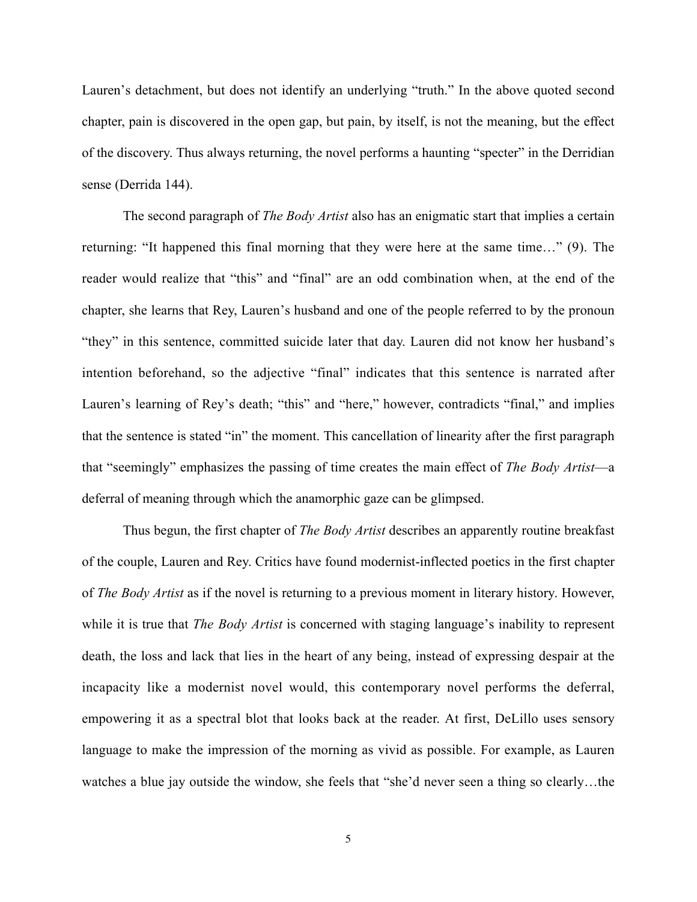Lauren's detachment, but does not identify an underlying "truth." In the above quoted second chapter, pain is discovered in the open gap, but pain, by itself, is not the meaning, but the effect of the discovery. Thus always returning, the novel performs a haunting "specter" in the Derridian sense (Derrida 144).

The second paragraph of *The Body Artist* also has an enigmatic start that implies a certain returning: "It happened this final morning that they were here at the same time…" (9). The reader would realize that "this" and "final" are an odd combination when, at the end of the chapter, she learns that Rey, Lauren's husband and one of the people referred to by the pronoun "they" in this sentence, committed suicide later that day. Lauren did not know her husband's intention beforehand, so the adjective "final" indicates that this sentence is narrated after Lauren's learning of Rey's death; "this" and "here," however, contradicts "final," and implies that the sentence is stated "in" the moment. This cancellation of linearity after the first paragraph that "seemingly" emphasizes the passing of time creates the main effect of *The Body Artist*—a deferral of meaning through which the anamorphic gaze can be glimpsed.

Thus begun, the first chapter of *The Body Artist* describes an apparently routine breakfast of the couple, Lauren and Rey. Critics have found modernist-inflected poetics in the first chapter of *The Body Artist* as if the novel is returning to a previous moment in literary history. However, while it is true that *The Body Artist* is concerned with staging language's inability to represent death, the loss and lack that lies in the heart of any being, instead of expressing despair at the incapacity like a modernist novel would, this contemporary novel performs the deferral, empowering it as a spectral blot that looks back at the reader. At first, DeLillo uses sensory language to make the impression of the morning as vivid as possible. For example, as Lauren watches a blue jay outside the window, she feels that "she'd never seen a thing so clearly…the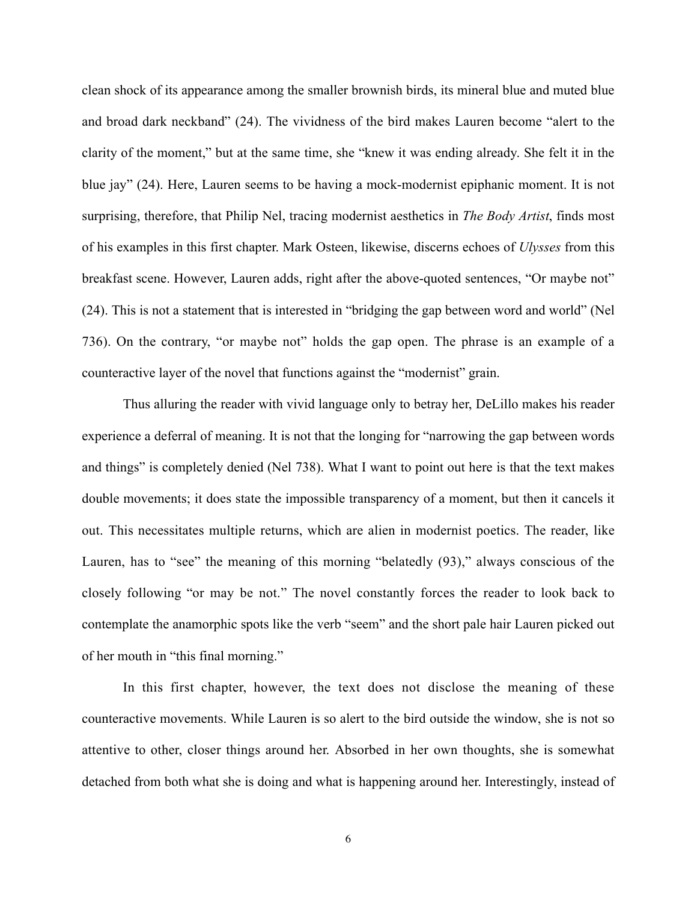clean shock of its appearance among the smaller brownish birds, its mineral blue and muted blue and broad dark neckband" (24). The vividness of the bird makes Lauren become "alert to the clarity of the moment," but at the same time, she "knew it was ending already. She felt it in the blue jay" (24). Here, Lauren seems to be having a mock-modernist epiphanic moment. It is not surprising, therefore, that Philip Nel, tracing modernist aesthetics in *The Body Artist*, finds most of his examples in this first chapter. Mark Osteen, likewise, discerns echoes of *Ulysses* from this breakfast scene. However, Lauren adds, right after the above-quoted sentences, "Or maybe not" (24). This is not a statement that is interested in "bridging the gap between word and world" (Nel 736). On the contrary, "or maybe not" holds the gap open. The phrase is an example of a counteractive layer of the novel that functions against the "modernist" grain.

Thus alluring the reader with vivid language only to betray her, DeLillo makes his reader experience a deferral of meaning. It is not that the longing for "narrowing the gap between words and things" is completely denied (Nel 738). What I want to point out here is that the text makes double movements; it does state the impossible transparency of a moment, but then it cancels it out. This necessitates multiple returns, which are alien in modernist poetics. The reader, like Lauren, has to "see" the meaning of this morning "belatedly (93)," always conscious of the closely following "or may be not." The novel constantly forces the reader to look back to contemplate the anamorphic spots like the verb "seem" and the short pale hair Lauren picked out of her mouth in "this final morning."

In this first chapter, however, the text does not disclose the meaning of these counteractive movements. While Lauren is so alert to the bird outside the window, she is not so attentive to other, closer things around her. Absorbed in her own thoughts, she is somewhat detached from both what she is doing and what is happening around her. Interestingly, instead of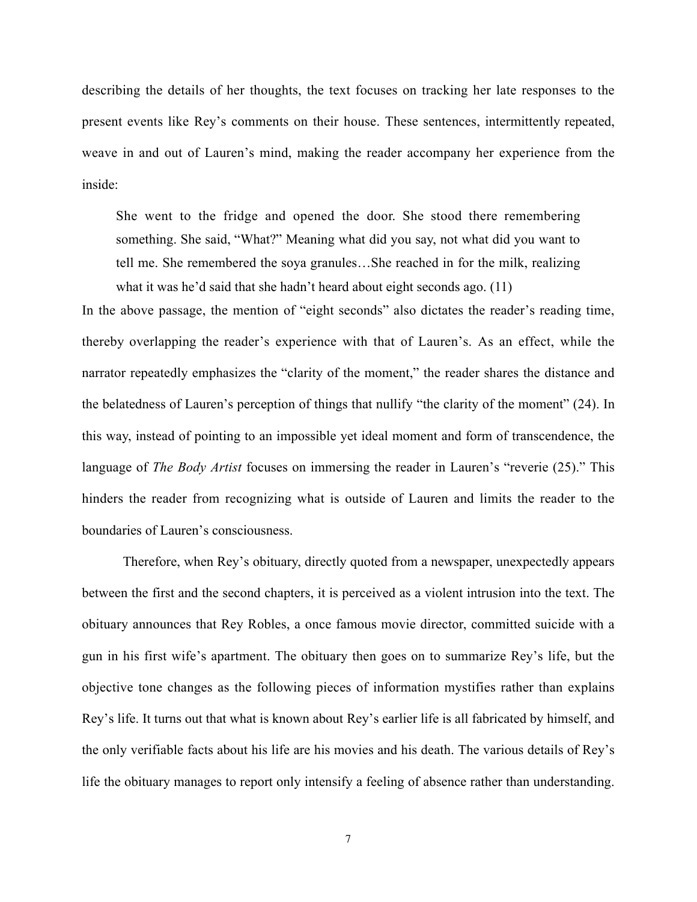describing the details of her thoughts, the text focuses on tracking her late responses to the present events like Rey's comments on their house. These sentences, intermittently repeated, weave in and out of Lauren's mind, making the reader accompany her experience from the inside:

She went to the fridge and opened the door. She stood there remembering something. She said, "What?" Meaning what did you say, not what did you want to tell me. She remembered the soya granules…She reached in for the milk, realizing what it was he'd said that she hadn't heard about eight seconds ago. (11)

In the above passage, the mention of "eight seconds" also dictates the reader's reading time, thereby overlapping the reader's experience with that of Lauren's. As an effect, while the narrator repeatedly emphasizes the "clarity of the moment," the reader shares the distance and the belatedness of Lauren's perception of things that nullify "the clarity of the moment" (24). In this way, instead of pointing to an impossible yet ideal moment and form of transcendence, the language of *The Body Artist* focuses on immersing the reader in Lauren's "reverie (25)." This hinders the reader from recognizing what is outside of Lauren and limits the reader to the boundaries of Lauren's consciousness.

Therefore, when Rey's obituary, directly quoted from a newspaper, unexpectedly appears between the first and the second chapters, it is perceived as a violent intrusion into the text. The obituary announces that Rey Robles, a once famous movie director, committed suicide with a gun in his first wife's apartment. The obituary then goes on to summarize Rey's life, but the objective tone changes as the following pieces of information mystifies rather than explains Rey's life. It turns out that what is known about Rey's earlier life is all fabricated by himself, and the only verifiable facts about his life are his movies and his death. The various details of Rey's life the obituary manages to report only intensify a feeling of absence rather than understanding.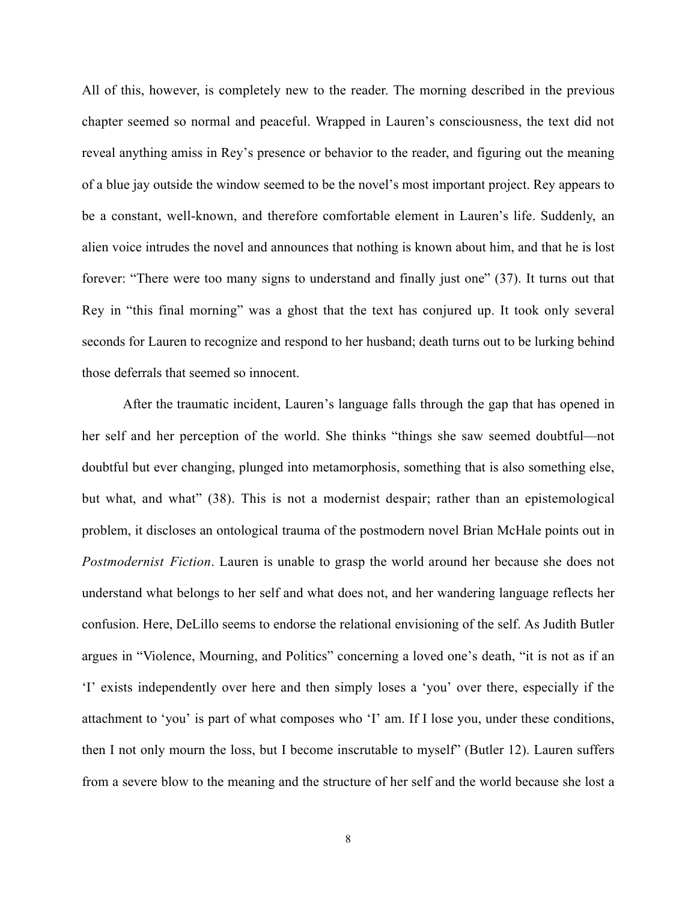All of this, however, is completely new to the reader. The morning described in the previous chapter seemed so normal and peaceful. Wrapped in Lauren's consciousness, the text did not reveal anything amiss in Rey's presence or behavior to the reader, and figuring out the meaning of a blue jay outside the window seemed to be the novel's most important project. Rey appears to be a constant, well-known, and therefore comfortable element in Lauren's life. Suddenly, an alien voice intrudes the novel and announces that nothing is known about him, and that he is lost forever: "There were too many signs to understand and finally just one" (37). It turns out that Rey in "this final morning" was a ghost that the text has conjured up. It took only several seconds for Lauren to recognize and respond to her husband; death turns out to be lurking behind those deferrals that seemed so innocent.

After the traumatic incident, Lauren's language falls through the gap that has opened in her self and her perception of the world. She thinks "things she saw seemed doubtful—not doubtful but ever changing, plunged into metamorphosis, something that is also something else, but what, and what" (38). This is not a modernist despair; rather than an epistemological problem, it discloses an ontological trauma of the postmodern novel Brian McHale points out in *Postmodernist Fiction*. Lauren is unable to grasp the world around her because she does not understand what belongs to her self and what does not, and her wandering language reflects her confusion. Here, DeLillo seems to endorse the relational envisioning of the self. As Judith Butler argues in "Violence, Mourning, and Politics" concerning a loved one's death, "it is not as if an 'I' exists independently over here and then simply loses a 'you' over there, especially if the attachment to 'you' is part of what composes who 'I' am. If I lose you, under these conditions, then I not only mourn the loss, but I become inscrutable to myself" (Butler 12). Lauren suffers from a severe blow to the meaning and the structure of her self and the world because she lost a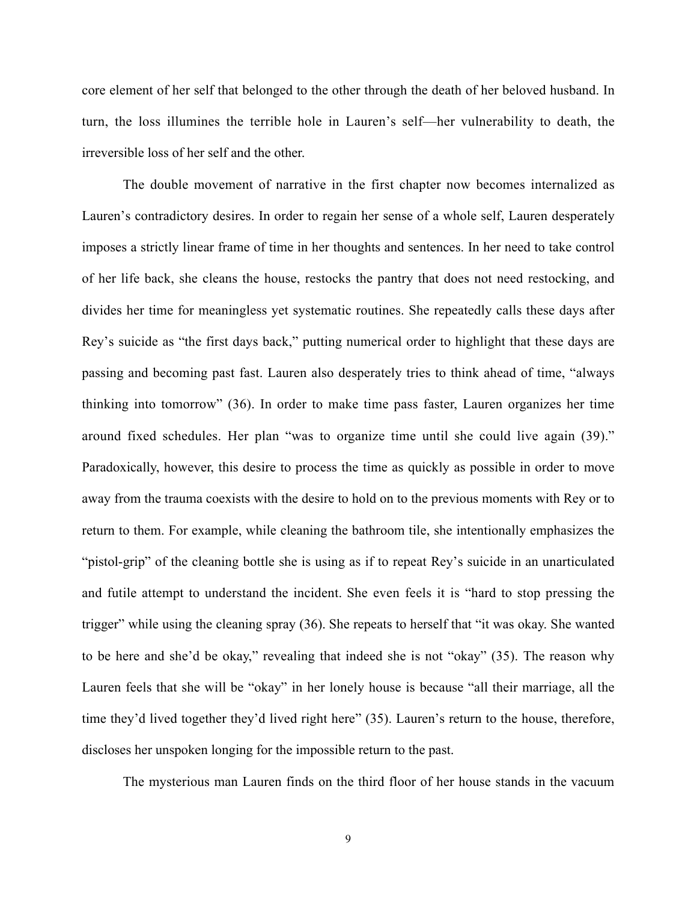core element of her self that belonged to the other through the death of her beloved husband. In turn, the loss illumines the terrible hole in Lauren's self—her vulnerability to death, the irreversible loss of her self and the other.

The double movement of narrative in the first chapter now becomes internalized as Lauren's contradictory desires. In order to regain her sense of a whole self, Lauren desperately imposes a strictly linear frame of time in her thoughts and sentences. In her need to take control of her life back, she cleans the house, restocks the pantry that does not need restocking, and divides her time for meaningless yet systematic routines. She repeatedly calls these days after Rey's suicide as "the first days back," putting numerical order to highlight that these days are passing and becoming past fast. Lauren also desperately tries to think ahead of time, "always thinking into tomorrow" (36). In order to make time pass faster, Lauren organizes her time around fixed schedules. Her plan "was to organize time until she could live again (39)." Paradoxically, however, this desire to process the time as quickly as possible in order to move away from the trauma coexists with the desire to hold on to the previous moments with Rey or to return to them. For example, while cleaning the bathroom tile, she intentionally emphasizes the "pistol-grip" of the cleaning bottle she is using as if to repeat Rey's suicide in an unarticulated and futile attempt to understand the incident. She even feels it is "hard to stop pressing the trigger" while using the cleaning spray (36). She repeats to herself that "it was okay. She wanted to be here and she'd be okay," revealing that indeed she is not "okay" (35). The reason why Lauren feels that she will be "okay" in her lonely house is because "all their marriage, all the time they'd lived together they'd lived right here" (35). Lauren's return to the house, therefore, discloses her unspoken longing for the impossible return to the past.

The mysterious man Lauren finds on the third floor of her house stands in the vacuum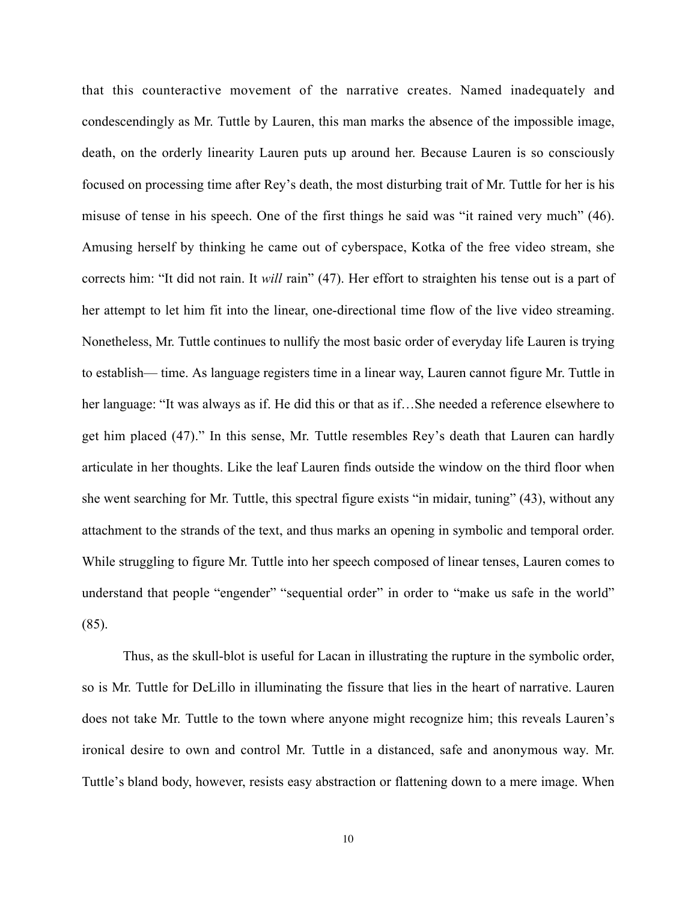that this counteractive movement of the narrative creates. Named inadequately and condescendingly as Mr. Tuttle by Lauren, this man marks the absence of the impossible image, death, on the orderly linearity Lauren puts up around her. Because Lauren is so consciously focused on processing time after Rey's death, the most disturbing trait of Mr. Tuttle for her is his misuse of tense in his speech. One of the first things he said was "it rained very much" (46). Amusing herself by thinking he came out of cyberspace, Kotka of the free video stream, she corrects him: "It did not rain. It *will* rain" (47). Her effort to straighten his tense out is a part of her attempt to let him fit into the linear, one-directional time flow of the live video streaming. Nonetheless, Mr. Tuttle continues to nullify the most basic order of everyday life Lauren is trying to establish— time. As language registers time in a linear way, Lauren cannot figure Mr. Tuttle in her language: "It was always as if. He did this or that as if…She needed a reference elsewhere to get him placed (47)." In this sense, Mr. Tuttle resembles Rey's death that Lauren can hardly articulate in her thoughts. Like the leaf Lauren finds outside the window on the third floor when she went searching for Mr. Tuttle, this spectral figure exists "in midair, tuning" (43), without any attachment to the strands of the text, and thus marks an opening in symbolic and temporal order. While struggling to figure Mr. Tuttle into her speech composed of linear tenses, Lauren comes to understand that people "engender" "sequential order" in order to "make us safe in the world" (85).

Thus, as the skull-blot is useful for Lacan in illustrating the rupture in the symbolic order, so is Mr. Tuttle for DeLillo in illuminating the fissure that lies in the heart of narrative. Lauren does not take Mr. Tuttle to the town where anyone might recognize him; this reveals Lauren's ironical desire to own and control Mr. Tuttle in a distanced, safe and anonymous way. Mr. Tuttle's bland body, however, resists easy abstraction or flattening down to a mere image. When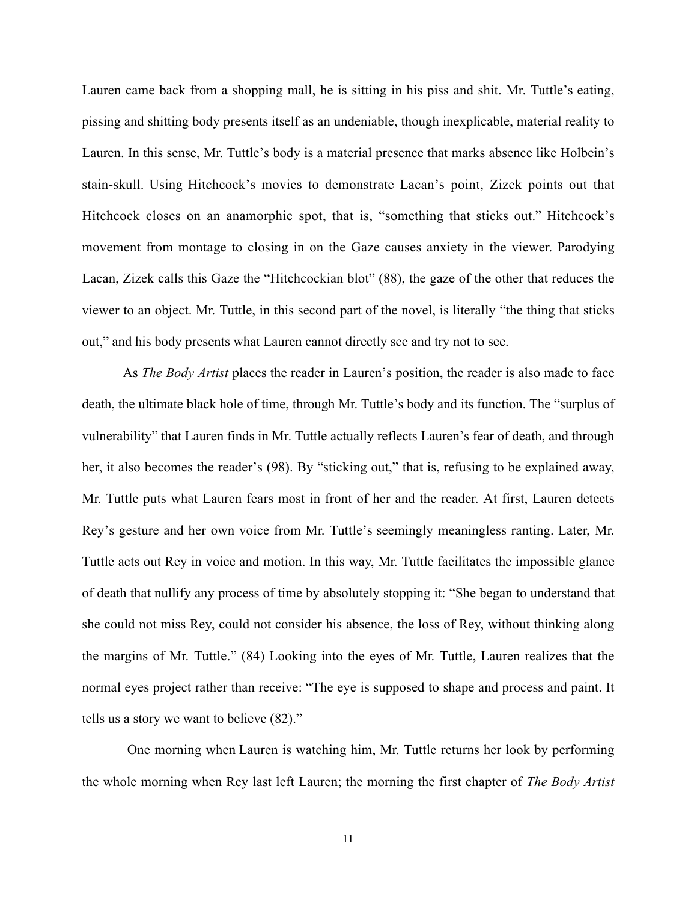Lauren came back from a shopping mall, he is sitting in his piss and shit. Mr. Tuttle's eating, pissing and shitting body presents itself as an undeniable, though inexplicable, material reality to Lauren. In this sense, Mr. Tuttle's body is a material presence that marks absence like Holbein's stain-skull. Using Hitchcock's movies to demonstrate Lacan's point, Zizek points out that Hitchcock closes on an anamorphic spot, that is, "something that sticks out." Hitchcock's movement from montage to closing in on the Gaze causes anxiety in the viewer. Parodying Lacan, Zizek calls this Gaze the "Hitchcockian blot" (88), the gaze of the other that reduces the viewer to an object. Mr. Tuttle, in this second part of the novel, is literally "the thing that sticks out," and his body presents what Lauren cannot directly see and try not to see.

As *The Body Artist* places the reader in Lauren's position, the reader is also made to face death, the ultimate black hole of time, through Mr. Tuttle's body and its function. The "surplus of vulnerability" that Lauren finds in Mr. Tuttle actually reflects Lauren's fear of death, and through her, it also becomes the reader's (98). By "sticking out," that is, refusing to be explained away, Mr. Tuttle puts what Lauren fears most in front of her and the reader. At first, Lauren detects Rey's gesture and her own voice from Mr. Tuttle's seemingly meaningless ranting. Later, Mr. Tuttle acts out Rey in voice and motion. In this way, Mr. Tuttle facilitates the impossible glance of death that nullify any process of time by absolutely stopping it: "She began to understand that she could not miss Rey, could not consider his absence, the loss of Rey, without thinking along the margins of Mr. Tuttle." (84) Looking into the eyes of Mr. Tuttle, Lauren realizes that the normal eyes project rather than receive: "The eye is supposed to shape and process and paint. It tells us a story we want to believe (82)."

One morning when Lauren is watching him, Mr. Tuttle returns her look by performing the whole morning when Rey last left Lauren; the morning the first chapter of *The Body Artist*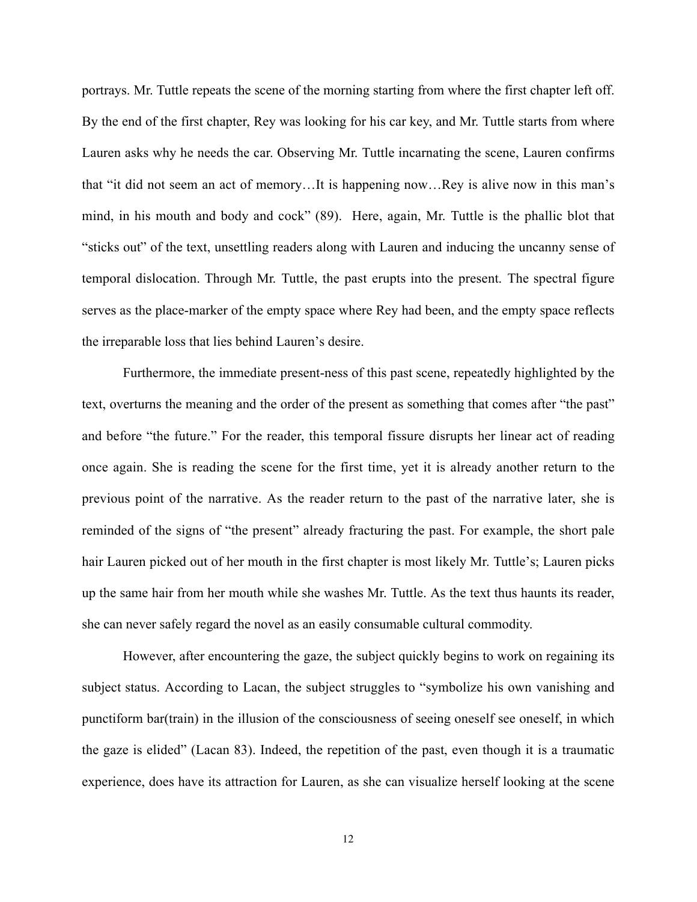portrays. Mr. Tuttle repeats the scene of the morning starting from where the first chapter left off. By the end of the first chapter, Rey was looking for his car key, and Mr. Tuttle starts from where Lauren asks why he needs the car. Observing Mr. Tuttle incarnating the scene, Lauren confirms that "it did not seem an act of memory…It is happening now…Rey is alive now in this man's mind, in his mouth and body and cock" (89). Here, again, Mr. Tuttle is the phallic blot that "sticks out" of the text, unsettling readers along with Lauren and inducing the uncanny sense of temporal dislocation. Through Mr. Tuttle, the past erupts into the present. The spectral figure serves as the place-marker of the empty space where Rey had been, and the empty space reflects the irreparable loss that lies behind Lauren's desire.

Furthermore, the immediate present-ness of this past scene, repeatedly highlighted by the text, overturns the meaning and the order of the present as something that comes after "the past" and before "the future." For the reader, this temporal fissure disrupts her linear act of reading once again. She is reading the scene for the first time, yet it is already another return to the previous point of the narrative. As the reader return to the past of the narrative later, she is reminded of the signs of "the present" already fracturing the past. For example, the short pale hair Lauren picked out of her mouth in the first chapter is most likely Mr. Tuttle's; Lauren picks up the same hair from her mouth while she washes Mr. Tuttle. As the text thus haunts its reader, she can never safely regard the novel as an easily consumable cultural commodity.

However, after encountering the gaze, the subject quickly begins to work on regaining its subject status. According to Lacan, the subject struggles to "symbolize his own vanishing and punctiform bar(train) in the illusion of the consciousness of seeing oneself see oneself, in which the gaze is elided" (Lacan 83). Indeed, the repetition of the past, even though it is a traumatic experience, does have its attraction for Lauren, as she can visualize herself looking at the scene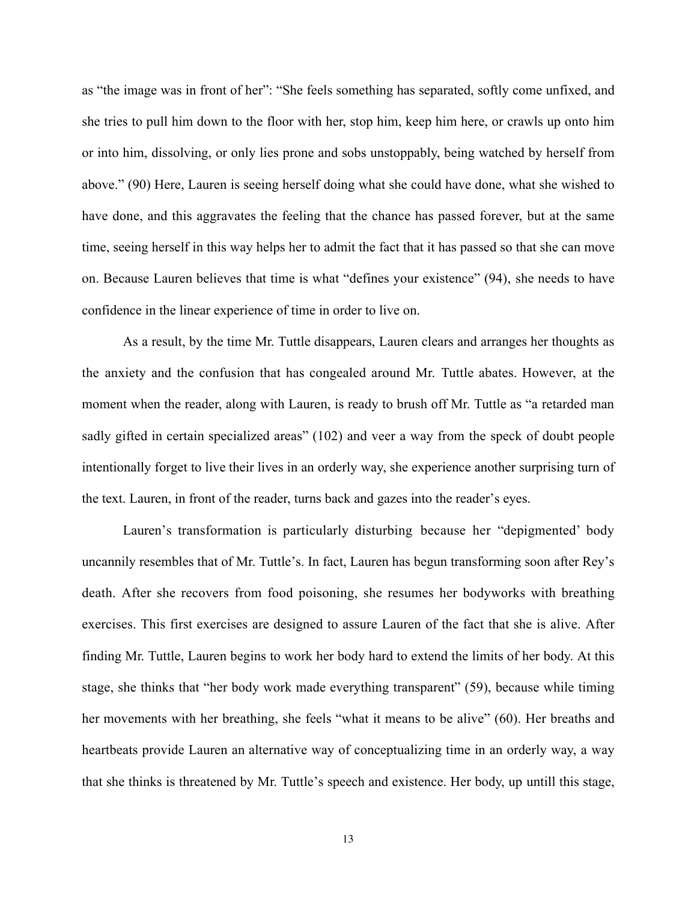as "the image was in front of her": "She feels something has separated, softly come unfixed, and she tries to pull him down to the floor with her, stop him, keep him here, or crawls up onto him or into him, dissolving, or only lies prone and sobs unstoppably, being watched by herself from above." (90) Here, Lauren is seeing herself doing what she could have done, what she wished to have done, and this aggravates the feeling that the chance has passed forever, but at the same time, seeing herself in this way helps her to admit the fact that it has passed so that she can move on. Because Lauren believes that time is what "defines your existence" (94), she needs to have confidence in the linear experience of time in order to live on.

As a result, by the time Mr. Tuttle disappears, Lauren clears and arranges her thoughts as the anxiety and the confusion that has congealed around Mr. Tuttle abates. However, at the moment when the reader, along with Lauren, is ready to brush off Mr. Tuttle as "a retarded man sadly gifted in certain specialized areas" (102) and veer a way from the speck of doubt people intentionally forget to live their lives in an orderly way, she experience another surprising turn of the text. Lauren, in front of the reader, turns back and gazes into the reader's eyes.

Lauren's transformation is particularly disturbing because her "depigmented' body uncannily resembles that of Mr. Tuttle's. In fact, Lauren has begun transforming soon after Rey's death. After she recovers from food poisoning, she resumes her bodyworks with breathing exercises. This first exercises are designed to assure Lauren of the fact that she is alive. After finding Mr. Tuttle, Lauren begins to work her body hard to extend the limits of her body. At this stage, she thinks that "her body work made everything transparent" (59), because while timing her movements with her breathing, she feels "what it means to be alive" (60). Her breaths and heartbeats provide Lauren an alternative way of conceptualizing time in an orderly way, a way that she thinks is threatened by Mr. Tuttle's speech and existence. Her body, up untill this stage,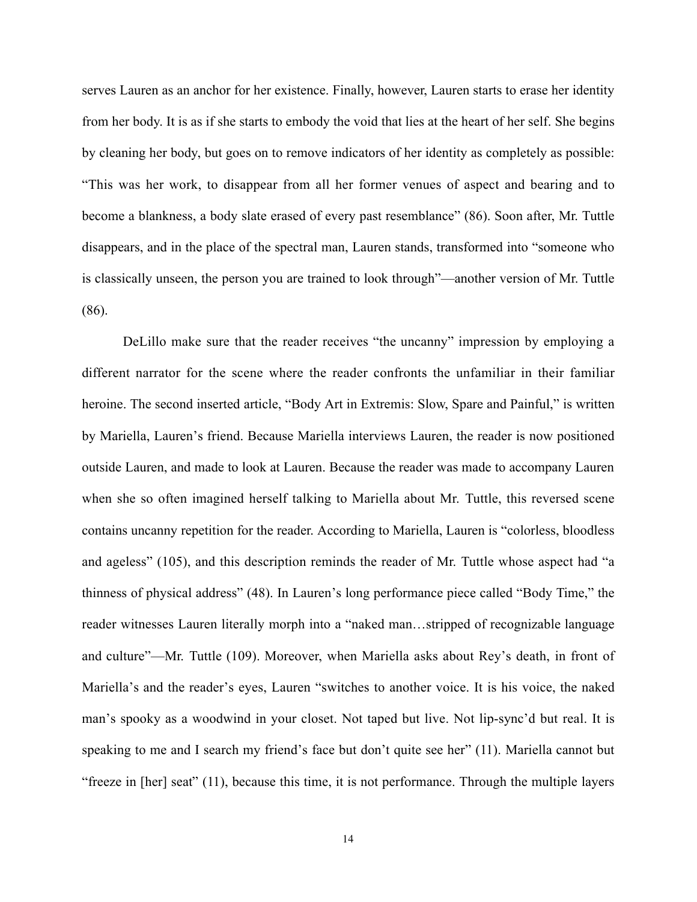serves Lauren as an anchor for her existence. Finally, however, Lauren starts to erase her identity from her body. It is as if she starts to embody the void that lies at the heart of her self. She begins by cleaning her body, but goes on to remove indicators of her identity as completely as possible: "This was her work, to disappear from all her former venues of aspect and bearing and to become a blankness, a body slate erased of every past resemblance" (86). Soon after, Mr. Tuttle disappears, and in the place of the spectral man, Lauren stands, transformed into "someone who is classically unseen, the person you are trained to look through"—another version of Mr. Tuttle (86).

DeLillo make sure that the reader receives "the uncanny" impression by employing a different narrator for the scene where the reader confronts the unfamiliar in their familiar heroine. The second inserted article, "Body Art in Extremis: Slow, Spare and Painful," is written by Mariella, Lauren's friend. Because Mariella interviews Lauren, the reader is now positioned outside Lauren, and made to look at Lauren. Because the reader was made to accompany Lauren when she so often imagined herself talking to Mariella about Mr. Tuttle, this reversed scene contains uncanny repetition for the reader. According to Mariella, Lauren is "colorless, bloodless and ageless" (105), and this description reminds the reader of Mr. Tuttle whose aspect had "a thinness of physical address" (48). In Lauren's long performance piece called "Body Time," the reader witnesses Lauren literally morph into a "naked man…stripped of recognizable language and culture"—Mr. Tuttle (109). Moreover, when Mariella asks about Rey's death, in front of Mariella's and the reader's eyes, Lauren "switches to another voice. It is his voice, the naked man's spooky as a woodwind in your closet. Not taped but live. Not lip-sync'd but real. It is speaking to me and I search my friend's face but don't quite see her" (11). Mariella cannot but "freeze in [her] seat" (11), because this time, it is not performance. Through the multiple layers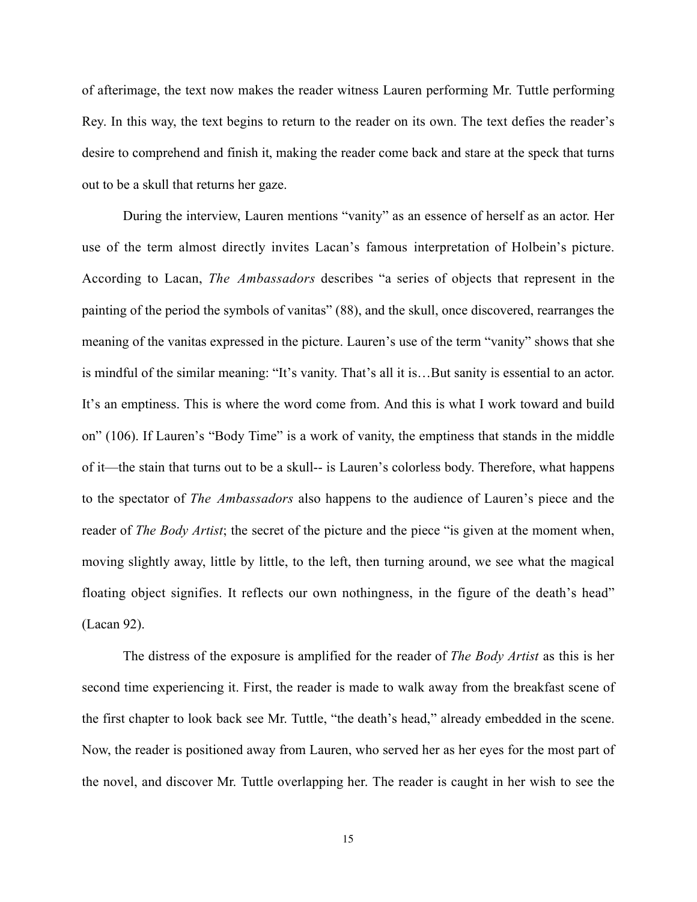of afterimage, the text now makes the reader witness Lauren performing Mr. Tuttle performing Rey. In this way, the text begins to return to the reader on its own. The text defies the reader's desire to comprehend and finish it, making the reader come back and stare at the speck that turns out to be a skull that returns her gaze.

During the interview, Lauren mentions "vanity" as an essence of herself as an actor. Her use of the term almost directly invites Lacan's famous interpretation of Holbein's picture. According to Lacan, *The Ambassadors* describes "a series of objects that represent in the painting of the period the symbols of vanitas" (88), and the skull, once discovered, rearranges the meaning of the vanitas expressed in the picture. Lauren's use of the term "vanity" shows that she is mindful of the similar meaning: "It's vanity. That's all it is…But sanity is essential to an actor. It's an emptiness. This is where the word come from. And this is what I work toward and build on" (106). If Lauren's "Body Time" is a work of vanity, the emptiness that stands in the middle of it—the stain that turns out to be a skull-- is Lauren's colorless body. Therefore, what happens to the spectator of *The Ambassadors* also happens to the audience of Lauren's piece and the reader of *The Body Artist*; the secret of the picture and the piece "is given at the moment when, moving slightly away, little by little, to the left, then turning around, we see what the magical floating object signifies. It reflects our own nothingness, in the figure of the death's head" (Lacan 92).

The distress of the exposure is amplified for the reader of *The Body Artist* as this is her second time experiencing it. First, the reader is made to walk away from the breakfast scene of the first chapter to look back see Mr. Tuttle, "the death's head," already embedded in the scene. Now, the reader is positioned away from Lauren, who served her as her eyes for the most part of the novel, and discover Mr. Tuttle overlapping her. The reader is caught in her wish to see the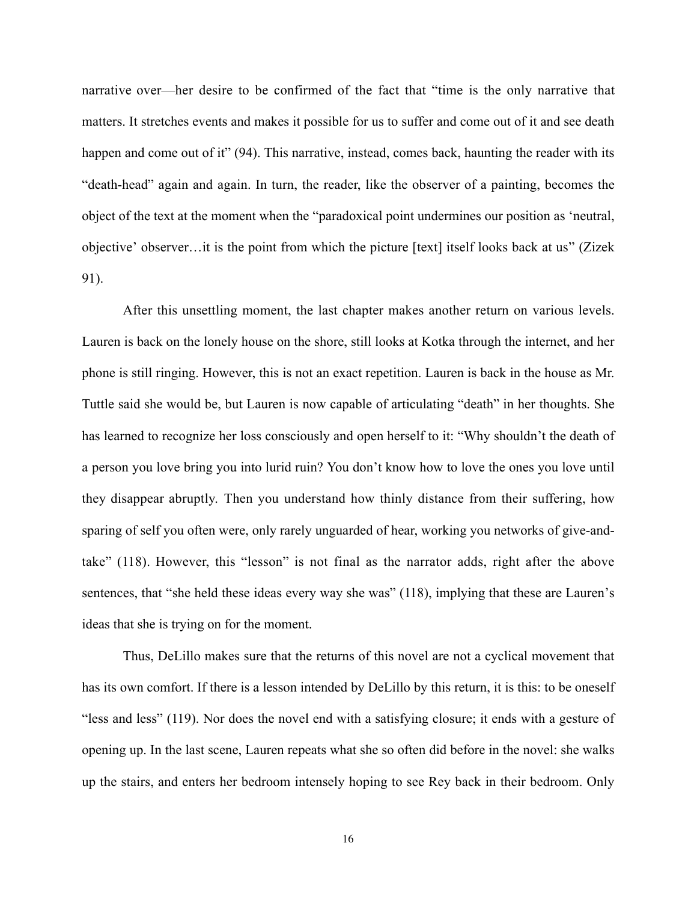narrative over—her desire to be confirmed of the fact that "time is the only narrative that matters. It stretches events and makes it possible for us to suffer and come out of it and see death happen and come out of it" (94). This narrative, instead, comes back, haunting the reader with its "death-head" again and again. In turn, the reader, like the observer of a painting, becomes the object of the text at the moment when the "paradoxical point undermines our position as 'neutral, objective' observer…it is the point from which the picture [text] itself looks back at us" (Zizek 91).

After this unsettling moment, the last chapter makes another return on various levels. Lauren is back on the lonely house on the shore, still looks at Kotka through the internet, and her phone is still ringing. However, this is not an exact repetition. Lauren is back in the house as Mr. Tuttle said she would be, but Lauren is now capable of articulating "death" in her thoughts. She has learned to recognize her loss consciously and open herself to it: "Why shouldn't the death of a person you love bring you into lurid ruin? You don't know how to love the ones you love until they disappear abruptly. Then you understand how thinly distance from their suffering, how sparing of self you often were, only rarely unguarded of hear, working you networks of give-andtake" (118). However, this "lesson" is not final as the narrator adds, right after the above sentences, that "she held these ideas every way she was" (118), implying that these are Lauren's ideas that she is trying on for the moment.

Thus, DeLillo makes sure that the returns of this novel are not a cyclical movement that has its own comfort. If there is a lesson intended by DeLillo by this return, it is this: to be oneself "less and less" (119). Nor does the novel end with a satisfying closure; it ends with a gesture of opening up. In the last scene, Lauren repeats what she so often did before in the novel: she walks up the stairs, and enters her bedroom intensely hoping to see Rey back in their bedroom. Only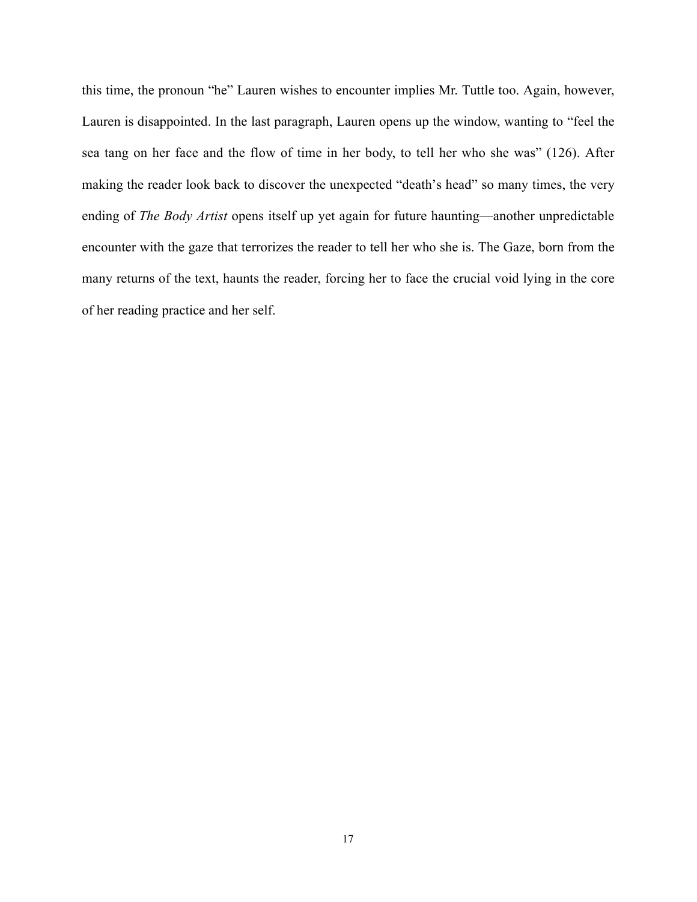this time, the pronoun "he" Lauren wishes to encounter implies Mr. Tuttle too. Again, however, Lauren is disappointed. In the last paragraph, Lauren opens up the window, wanting to "feel the sea tang on her face and the flow of time in her body, to tell her who she was" (126). After making the reader look back to discover the unexpected "death's head" so many times, the very ending of *The Body Artist* opens itself up yet again for future haunting—another unpredictable encounter with the gaze that terrorizes the reader to tell her who she is. The Gaze, born from the many returns of the text, haunts the reader, forcing her to face the crucial void lying in the core of her reading practice and her self.